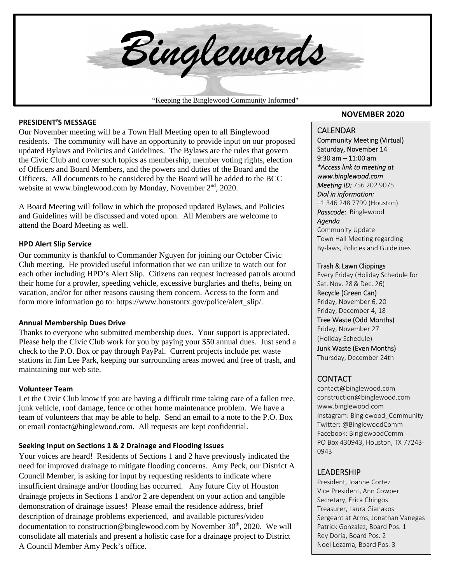

#### **PRESIDENT'S MESSAGE**

Our November meeting will be a Town Hall Meeting open to all Binglewood residents. The community will have an opportunity to provide input on our proposed updated Bylaws and Policies and Guidelines. The Bylaws are the rules that govern the Civic Club and cover such topics as membership, member voting rights, election of Officers and Board Members, and the powers and duties of the Board and the Officers. All documents to be considered by the Board will be added to the BCC website at www.binglewood.com by Monday, November  $2<sup>nd</sup>$ , 2020.

A Board Meeting will follow in which the proposed updated Bylaws, and Policies and Guidelines will be discussed and voted upon. All Members are welcome to attend the Board Meeting as well.

#### **HPD Alert Slip Service**

Our community is thankful to Commander Nguyen for joining our October Civic Club meeting. He provided useful information that we can utilize to watch out for each other including HPD's Alert Slip. Citizens can request increased patrols around their home for a prowler, speeding vehicle, excessive burglaries and thefts, being on vacation, and/or for other reasons causing them concern. Access to the form and form more information go to: https://www.houstontx.gov/police/alert\_slip/.

#### **Annual Membership Dues Drive**

Thanks to everyone who submitted membership dues. Your support is appreciated. Please help the Civic Club work for you by paying your \$50 annual dues. Just send a check to the P.O. Box or pay through PayPal. Current projects include pet waste stations in Jim Lee Park, keeping our surrounding areas mowed and free of trash, and maintaining our web site.

#### **Volunteer Team**

Let the Civic Club know if you are having a difficult time taking care of a fallen tree, junk vehicle, roof damage, fence or other home maintenance problem. We have a team of volunteers that may be able to help. Send an email to a note to the P.O. Box or email contact@binglewood.com. All requests are kept confidential.

### **Seeking Input on Sections 1 & 2 Drainage and Flooding Issues**

Your voices are heard! Residents of Sections 1 and 2 have previously indicated the need for improved drainage to mitigate flooding concerns. Amy Peck, our District A Council Member, is asking for input by requesting residents to indicate where insufficient drainage and/or flooding has occurred. Any future City of Houston drainage projects in Sections 1 and/or 2 are dependent on your action and tangible demonstration of drainage issues! Please email the residence address, brief description of drainage problems experienced, and available pictures/video documentation to construction@binglewood.com by November  $30<sup>th</sup>$ , 2020. We will consolidate all materials and present a holistic case for a drainage project to District A Council Member Amy Peck's office.

### **NOVEMBER 2020**

### CALENDAR

Community Meeting (Virtual) Saturday, November 14 9:30 am – 11:00 am *\*Access link to meeting at www.binglewood.com Meeting ID:* 756 202 9075 *Dial in information:*  +1 346 248 7799 (Houston) *Passcode:* Binglewood *Agenda* 

Community Update Town Hall Meeting regarding By‐laws, Policies and Guidelines

#### Trash & Lawn Clippings

Every Friday (Holiday Schedule for Sat. Nov. 28& Dec. 26) Recycle (Green Can) Friday, November 6, 20 Friday, December 4, 18 Tree Waste (Odd Months) Friday, November 27 (Holiday Schedule) Junk Waste (Even Months) Thursday, December 24th

### **CONTACT**

contact@binglewood.com construction@binglewood.com www.binglewood.com Instagram: Binglewood\_Community Twitter: @BinglewoodComm Facebook: BinglewoodComm PO Box 430943, Houston, TX 77243‐ 0943

### LEADERSHIP

 Sergeant at Arms, Jonathan Vanegas President, Joanne Cortez Vice President, Ann Cowper Secretary, Erica Chingos Treasurer, Laura Gianakos Patrick Gonzalez, Board Pos. 1 Rey Doria, Board Pos. 2 Noel Lezama, Board Pos. 3